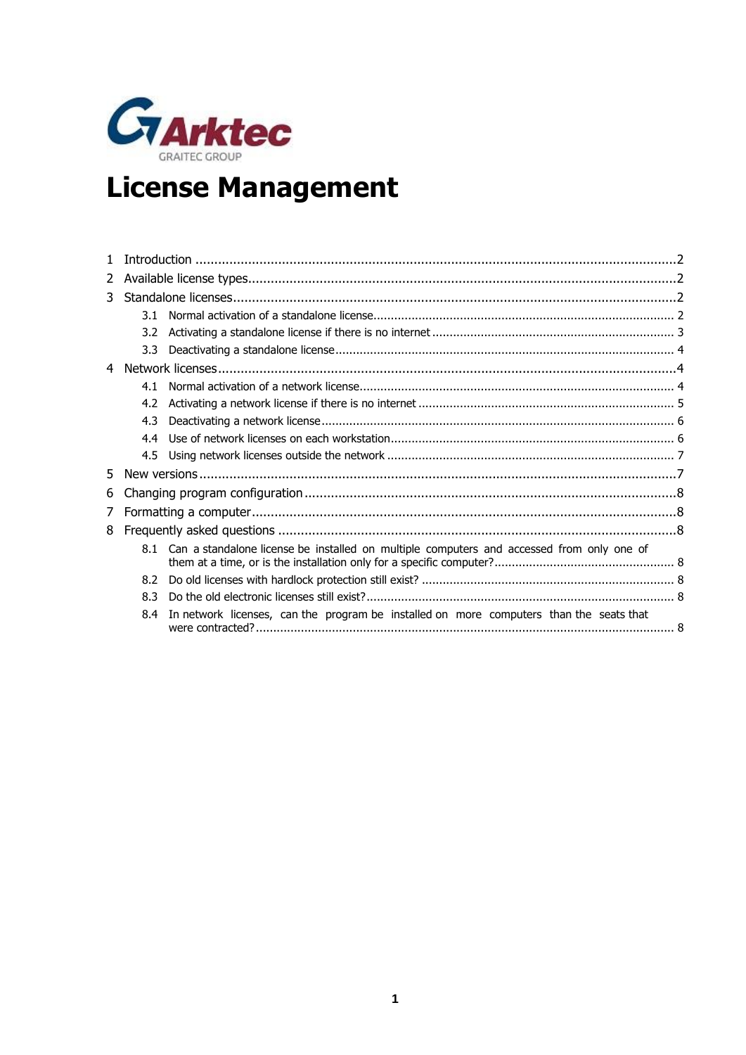

# **License Management**

| 2              |     |                                                                                               |  |
|----------------|-----|-----------------------------------------------------------------------------------------------|--|
| 3              |     |                                                                                               |  |
|                | 3.1 |                                                                                               |  |
|                | 3.2 |                                                                                               |  |
|                | 3.3 |                                                                                               |  |
| $\overline{4}$ |     |                                                                                               |  |
|                | 4.1 |                                                                                               |  |
|                | 4.2 |                                                                                               |  |
|                | 4.3 |                                                                                               |  |
|                | 4.4 |                                                                                               |  |
|                | 4.5 |                                                                                               |  |
| 5.             |     |                                                                                               |  |
| 6              |     |                                                                                               |  |
| 7              |     |                                                                                               |  |
| 8              |     |                                                                                               |  |
|                |     | 8.1 Can a standalone license be installed on multiple computers and accessed from only one of |  |
|                | 8.2 |                                                                                               |  |
|                | 8.3 |                                                                                               |  |
|                | 8.4 | In network licenses, can the program be installed on more computers than the seats that       |  |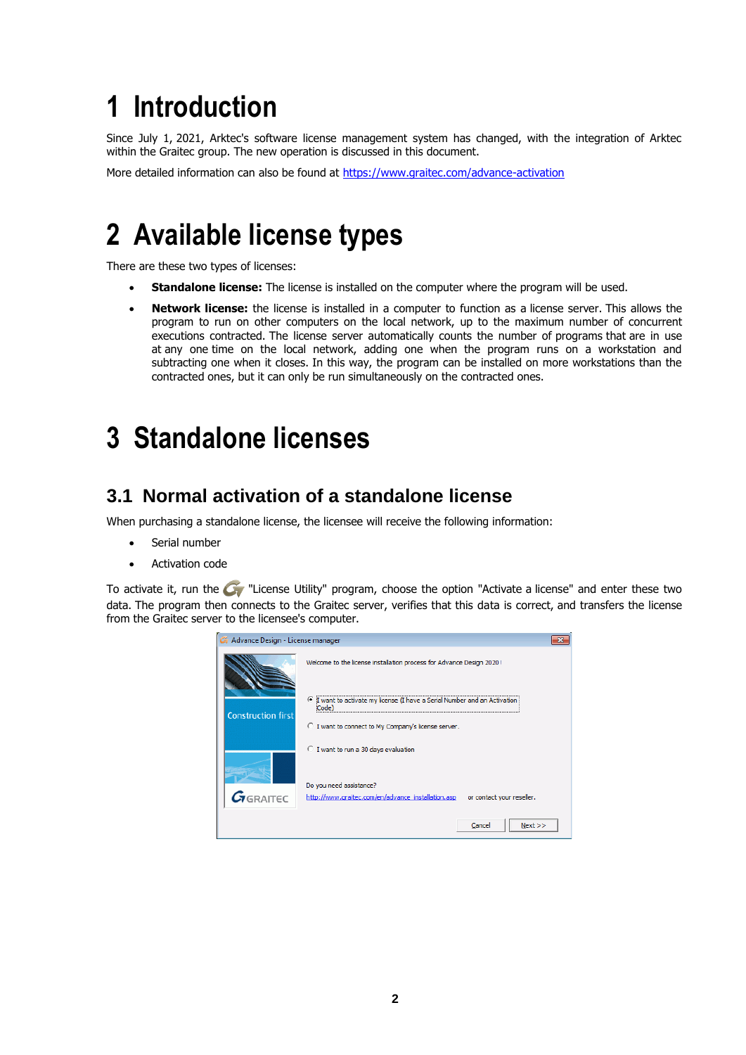# <span id="page-1-0"></span>**1 Introduction**

Since July 1, 2021, Arktec's software license management system has changed, with the integration of Arktec within the Graitec group. The new operation is discussed in this document.

<span id="page-1-1"></span>More detailed information can also be found at<https://www.graitec.com/advance-activation>

# **2 Available license types**

There are these two types of licenses:

- **Standalone license:** The license is installed on the computer where the program will be used.
- **Network license:** the license is installed in a computer to function as a license server. This allows the program to run on other computers on the local network, up to the maximum number of concurrent executions contracted. The license server automatically counts the number of programs that are in use at any one time on the local network, adding one when the program runs on a workstation and subtracting one when it closes. In this way, the program can be installed on more workstations than the contracted ones, but it can only be run simultaneously on the contracted ones.

# <span id="page-1-2"></span>**3 Standalone licenses**

### <span id="page-1-3"></span>**3.1 Normal activation of a standalone license**

When purchasing a standalone license, the licensee will receive the following information:

- Serial number
- Activation code

To activate it, run the  $\mathbb{C}$  "License Utility" program, choose the option "Activate a license" and enter these two data. The program then connects to the Graitec server, verifies that this data is correct, and transfers the license from the Graitec server to the licensee's computer.

| Advance Design - License manager |                                                                                                                                                       |  |
|----------------------------------|-------------------------------------------------------------------------------------------------------------------------------------------------------|--|
|                                  | Welcome to the license installation process for Advance Design 2020!                                                                                  |  |
| <b>Construction first</b>        | $\epsilon$<br>I want to activate my license (I have a Serial Number and an Activation<br>Code)<br>○ I want to connect to My Company's license server. |  |
|                                  | ○ I want to run a 30 days evaluation                                                                                                                  |  |
| $G_{\text{GRAITEC}}$             | Do you need assistance?<br>http://www.graitec.com/en/advance_installation.asp<br>or contact your reseller.                                            |  |
|                                  | Cancel<br>Next                                                                                                                                        |  |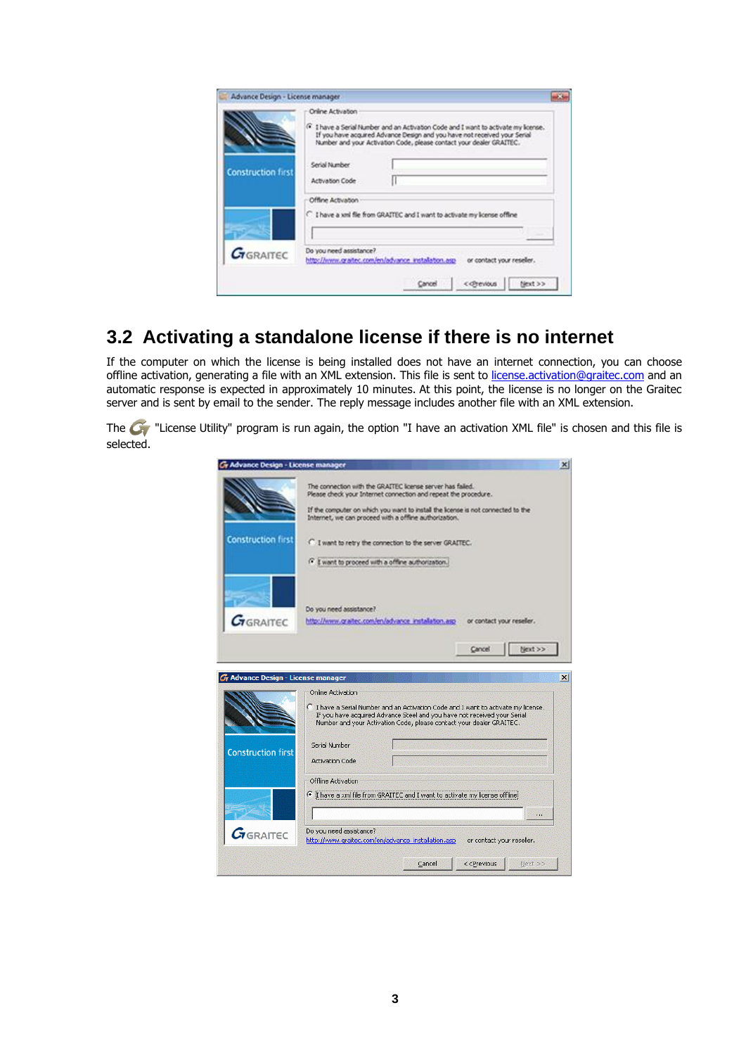|                           | Online Activation                | <sup>(*</sup> I have a Serial Number and an Activation Code and I want to activate my krense.)<br>If you have acquired Advance Design and you have not received your Serial<br>Number and your Activation Code, please contact your dealer GRAITEC. |
|---------------------------|----------------------------------|-----------------------------------------------------------------------------------------------------------------------------------------------------------------------------------------------------------------------------------------------------|
| <b>Construction first</b> | Serial Number<br>Activation Code |                                                                                                                                                                                                                                                     |
|                           | Offine Activation                | C I have a xril file from GRATTEC and I want to activate my icense offine                                                                                                                                                                           |
| <b><i>G</i></b> GRAITEC   | Do you need assistance?          | http://www.graitec.com/en/advance_installation.asp<br>or contact your reseler.                                                                                                                                                                      |

## <span id="page-2-0"></span>**3.2 Activating a standalone license if there is no internet**

If the computer on which the license is being installed does not have an internet connection, you can choose offline activation, generating a file with an XML extension. This file is sent to [license.activation@graitec.com](mailto:license.activation@graitec.com) and an automatic response is expected in approximately 10 minutes. At this point, the license is no longer on the Graitec server and is sent by email to the sender. The reply message includes another file with an XML extension.

The  $\bullet$  "License Utility" program is run again, the option "I have an activation XML file" is chosen and this file is selected.

| The connection with the GRATTEC loanse server has failed.<br>Please check your Internet connection and repeat the procedure.<br>If the computer on which you want to install the icense is not connected to the<br>Internet, we can proceed with a offine authorization.<br><b>Construction first</b><br>C. I want to retry the connection to the server GRATEC.<br>F I want to proceed with a office authorization.<br>Do you need assistance?<br>$G$ RAITEC<br>http://www.graitec.com/en/advance_installation.asp -<br>or contact your reseler.<br>Next >><br>Cancel<br><b>G</b> Advance Design - License manager<br>$\vert x \vert$<br>Online Activation<br>Thave a Serial Number and an Activation Code and I want to activate my license.<br>If you have acquired Advance Steel and you have not received your Serial<br>Number and your Activation Code, please contact your dealer GRAITEC.<br>Serial Number<br><b>Construction first</b><br><b>Activation Code</b><br>Offline Activation<br>Thave a xml file from GRAITEC and I want to activate my license offline.<br>9 P.<br>Do you need assistance?<br><b>A</b> GRAITEC<br>http://www.graitec.com/en/advance_installation.asp<br>or contact your reseller.<br>Next >><br>Cancel<br>< <previous< th=""><th>Gr Advance Design - License manager</th><th></th></previous<> | Gr Advance Design - License manager |  |
|-------------------------------------------------------------------------------------------------------------------------------------------------------------------------------------------------------------------------------------------------------------------------------------------------------------------------------------------------------------------------------------------------------------------------------------------------------------------------------------------------------------------------------------------------------------------------------------------------------------------------------------------------------------------------------------------------------------------------------------------------------------------------------------------------------------------------------------------------------------------------------------------------------------------------------------------------------------------------------------------------------------------------------------------------------------------------------------------------------------------------------------------------------------------------------------------------------------------------------------------------------------------------------------------------------------------------------------|-------------------------------------|--|
|                                                                                                                                                                                                                                                                                                                                                                                                                                                                                                                                                                                                                                                                                                                                                                                                                                                                                                                                                                                                                                                                                                                                                                                                                                                                                                                                     |                                     |  |
|                                                                                                                                                                                                                                                                                                                                                                                                                                                                                                                                                                                                                                                                                                                                                                                                                                                                                                                                                                                                                                                                                                                                                                                                                                                                                                                                     |                                     |  |
|                                                                                                                                                                                                                                                                                                                                                                                                                                                                                                                                                                                                                                                                                                                                                                                                                                                                                                                                                                                                                                                                                                                                                                                                                                                                                                                                     |                                     |  |
|                                                                                                                                                                                                                                                                                                                                                                                                                                                                                                                                                                                                                                                                                                                                                                                                                                                                                                                                                                                                                                                                                                                                                                                                                                                                                                                                     |                                     |  |
|                                                                                                                                                                                                                                                                                                                                                                                                                                                                                                                                                                                                                                                                                                                                                                                                                                                                                                                                                                                                                                                                                                                                                                                                                                                                                                                                     |                                     |  |
|                                                                                                                                                                                                                                                                                                                                                                                                                                                                                                                                                                                                                                                                                                                                                                                                                                                                                                                                                                                                                                                                                                                                                                                                                                                                                                                                     |                                     |  |
|                                                                                                                                                                                                                                                                                                                                                                                                                                                                                                                                                                                                                                                                                                                                                                                                                                                                                                                                                                                                                                                                                                                                                                                                                                                                                                                                     |                                     |  |
|                                                                                                                                                                                                                                                                                                                                                                                                                                                                                                                                                                                                                                                                                                                                                                                                                                                                                                                                                                                                                                                                                                                                                                                                                                                                                                                                     |                                     |  |
|                                                                                                                                                                                                                                                                                                                                                                                                                                                                                                                                                                                                                                                                                                                                                                                                                                                                                                                                                                                                                                                                                                                                                                                                                                                                                                                                     |                                     |  |
|                                                                                                                                                                                                                                                                                                                                                                                                                                                                                                                                                                                                                                                                                                                                                                                                                                                                                                                                                                                                                                                                                                                                                                                                                                                                                                                                     |                                     |  |
|                                                                                                                                                                                                                                                                                                                                                                                                                                                                                                                                                                                                                                                                                                                                                                                                                                                                                                                                                                                                                                                                                                                                                                                                                                                                                                                                     |                                     |  |
|                                                                                                                                                                                                                                                                                                                                                                                                                                                                                                                                                                                                                                                                                                                                                                                                                                                                                                                                                                                                                                                                                                                                                                                                                                                                                                                                     |                                     |  |
|                                                                                                                                                                                                                                                                                                                                                                                                                                                                                                                                                                                                                                                                                                                                                                                                                                                                                                                                                                                                                                                                                                                                                                                                                                                                                                                                     |                                     |  |
|                                                                                                                                                                                                                                                                                                                                                                                                                                                                                                                                                                                                                                                                                                                                                                                                                                                                                                                                                                                                                                                                                                                                                                                                                                                                                                                                     |                                     |  |
|                                                                                                                                                                                                                                                                                                                                                                                                                                                                                                                                                                                                                                                                                                                                                                                                                                                                                                                                                                                                                                                                                                                                                                                                                                                                                                                                     |                                     |  |
|                                                                                                                                                                                                                                                                                                                                                                                                                                                                                                                                                                                                                                                                                                                                                                                                                                                                                                                                                                                                                                                                                                                                                                                                                                                                                                                                     |                                     |  |
|                                                                                                                                                                                                                                                                                                                                                                                                                                                                                                                                                                                                                                                                                                                                                                                                                                                                                                                                                                                                                                                                                                                                                                                                                                                                                                                                     |                                     |  |
|                                                                                                                                                                                                                                                                                                                                                                                                                                                                                                                                                                                                                                                                                                                                                                                                                                                                                                                                                                                                                                                                                                                                                                                                                                                                                                                                     |                                     |  |
|                                                                                                                                                                                                                                                                                                                                                                                                                                                                                                                                                                                                                                                                                                                                                                                                                                                                                                                                                                                                                                                                                                                                                                                                                                                                                                                                     |                                     |  |
|                                                                                                                                                                                                                                                                                                                                                                                                                                                                                                                                                                                                                                                                                                                                                                                                                                                                                                                                                                                                                                                                                                                                                                                                                                                                                                                                     |                                     |  |
|                                                                                                                                                                                                                                                                                                                                                                                                                                                                                                                                                                                                                                                                                                                                                                                                                                                                                                                                                                                                                                                                                                                                                                                                                                                                                                                                     |                                     |  |
|                                                                                                                                                                                                                                                                                                                                                                                                                                                                                                                                                                                                                                                                                                                                                                                                                                                                                                                                                                                                                                                                                                                                                                                                                                                                                                                                     |                                     |  |
|                                                                                                                                                                                                                                                                                                                                                                                                                                                                                                                                                                                                                                                                                                                                                                                                                                                                                                                                                                                                                                                                                                                                                                                                                                                                                                                                     |                                     |  |
|                                                                                                                                                                                                                                                                                                                                                                                                                                                                                                                                                                                                                                                                                                                                                                                                                                                                                                                                                                                                                                                                                                                                                                                                                                                                                                                                     |                                     |  |
|                                                                                                                                                                                                                                                                                                                                                                                                                                                                                                                                                                                                                                                                                                                                                                                                                                                                                                                                                                                                                                                                                                                                                                                                                                                                                                                                     |                                     |  |
|                                                                                                                                                                                                                                                                                                                                                                                                                                                                                                                                                                                                                                                                                                                                                                                                                                                                                                                                                                                                                                                                                                                                                                                                                                                                                                                                     |                                     |  |
|                                                                                                                                                                                                                                                                                                                                                                                                                                                                                                                                                                                                                                                                                                                                                                                                                                                                                                                                                                                                                                                                                                                                                                                                                                                                                                                                     |                                     |  |
|                                                                                                                                                                                                                                                                                                                                                                                                                                                                                                                                                                                                                                                                                                                                                                                                                                                                                                                                                                                                                                                                                                                                                                                                                                                                                                                                     |                                     |  |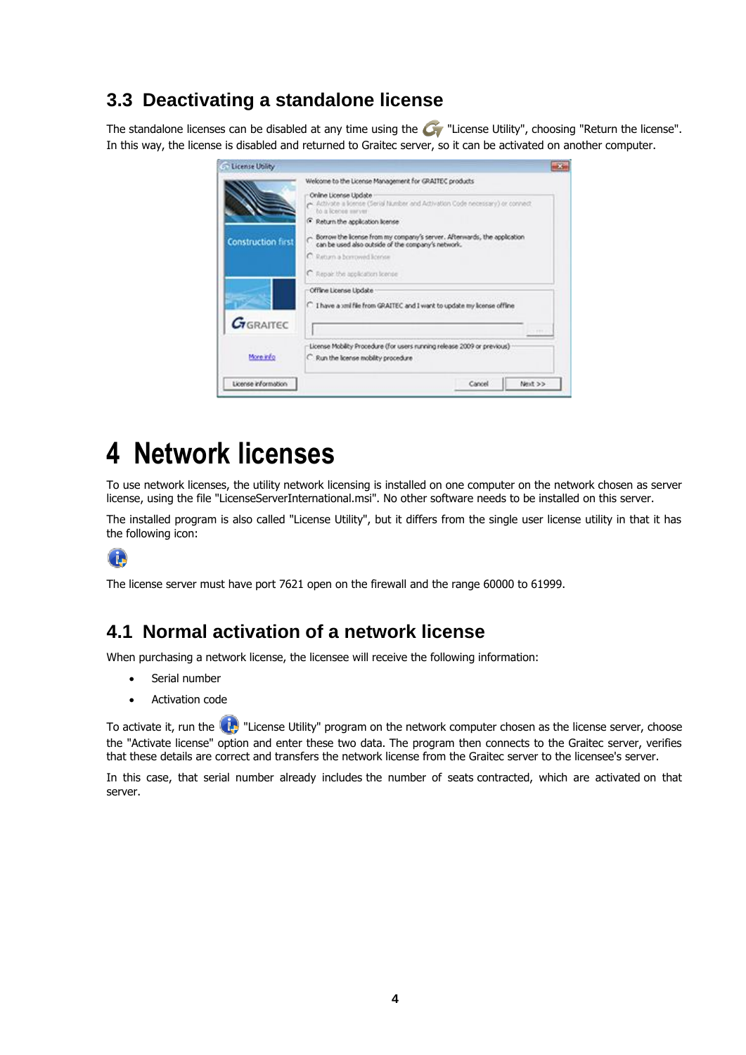### <span id="page-3-0"></span>**3.3 Deactivating a standalone license**

The standalone licenses can be disabled at any time using the  $G$  "License Utility", choosing "Return the license". In this way, the license is disabled and returned to Graitec server, so it can be activated on another computer.



# <span id="page-3-1"></span>**4 Network licenses**

To use network licenses, the utility network licensing is installed on one computer on the network chosen as server license, using the file "LicenseServerInternational.msi". No other software needs to be installed on this server.

The installed program is also called "License Utility", but it differs from the single user license utility in that it has the following icon:



<span id="page-3-2"></span>The license server must have port 7621 open on the firewall and the range 60000 to 61999.

#### **4.1 Normal activation of a network license**

When purchasing a network license, the licensee will receive the following information:

- Serial number
- Activation code

To activate it, run the  $\langle \cdot \rangle$  "License Utility" program on the network computer chosen as the license server, choose the "Activate license" option and enter these two data. The program then connects to the Graitec server, verifies that these details are correct and transfers the network license from the Graitec server to the licensee's server.

In this case, that serial number already includes the number of seats contracted, which are activated on that server.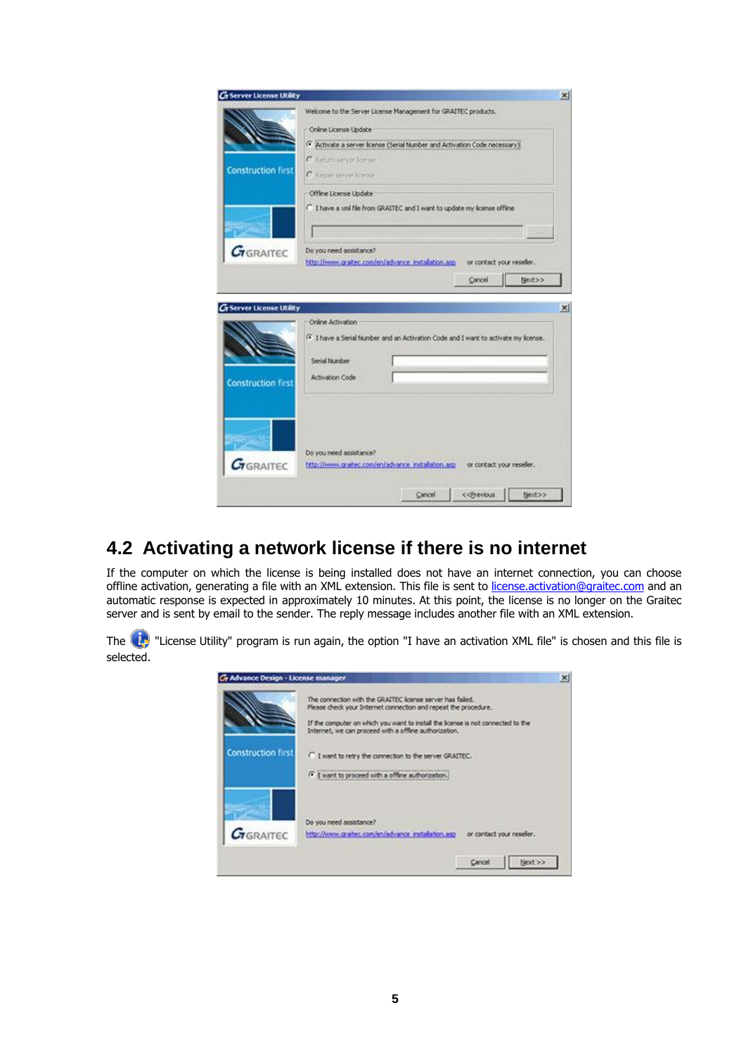| <b>G</b> Server License Utility         |                                                                                                           | $\vert x \vert$ |
|-----------------------------------------|-----------------------------------------------------------------------------------------------------------|-----------------|
|                                         | Welcome to the Server License Management for GRAITEC products.                                            |                 |
|                                         | Online License Update                                                                                     |                 |
|                                         | (* Activate a server license (Serial Number and Activation Code necessary).                               |                 |
|                                         | C. Return server formie                                                                                   |                 |
| <b>Construction first</b>               | C Repair server license                                                                                   |                 |
|                                         | Offine License Update                                                                                     |                 |
|                                         | C I have a xril file from GRAITEC and I want to update my license offline                                 |                 |
|                                         |                                                                                                           |                 |
|                                         |                                                                                                           |                 |
| $7$ GRAITEC                             | Do you need assistance?                                                                                   |                 |
|                                         | http://www.graitec.com/en/advance_installation.asp or contact your reseller.                              |                 |
|                                         | Cancel<br>Next>>                                                                                          |                 |
|                                         |                                                                                                           |                 |
| <b><i>Griserver License Utility</i></b> |                                                                                                           | $\vert x \vert$ |
|                                         | Online Activation                                                                                         |                 |
|                                         | F I have a Serial Number and an Activation Code and I want to activate my license.                        |                 |
|                                         |                                                                                                           |                 |
|                                         | Serial Number                                                                                             |                 |
| <b>Construction first</b>               | Activation Code                                                                                           |                 |
|                                         |                                                                                                           |                 |
|                                         |                                                                                                           |                 |
|                                         |                                                                                                           |                 |
|                                         |                                                                                                           |                 |
|                                         |                                                                                                           |                 |
| GRAITEC                                 | Do you need assistance?<br>http://www.gratec.com/en/advance_installation.asp __ or contact your reseller. |                 |
|                                         |                                                                                                           |                 |
|                                         |                                                                                                           |                 |
|                                         | Next>>                                                                                                    |                 |

## <span id="page-4-0"></span>**4.2 Activating a network license if there is no internet**

If the computer on which the license is being installed does not have an internet connection, you can choose offline activation, generating a file with an XML extension. This file is sent to [license.activation@graitec.com](mailto:license.activation@graitec.com) and an automatic response is expected in approximately 10 minutes. At this point, the license is no longer on the Graitec server and is sent by email to the sender. The reply message includes another file with an XML extension.

The **CP** "License Utility" program is run again, the option "I have an activation XML file" is chosen and this file is selected.

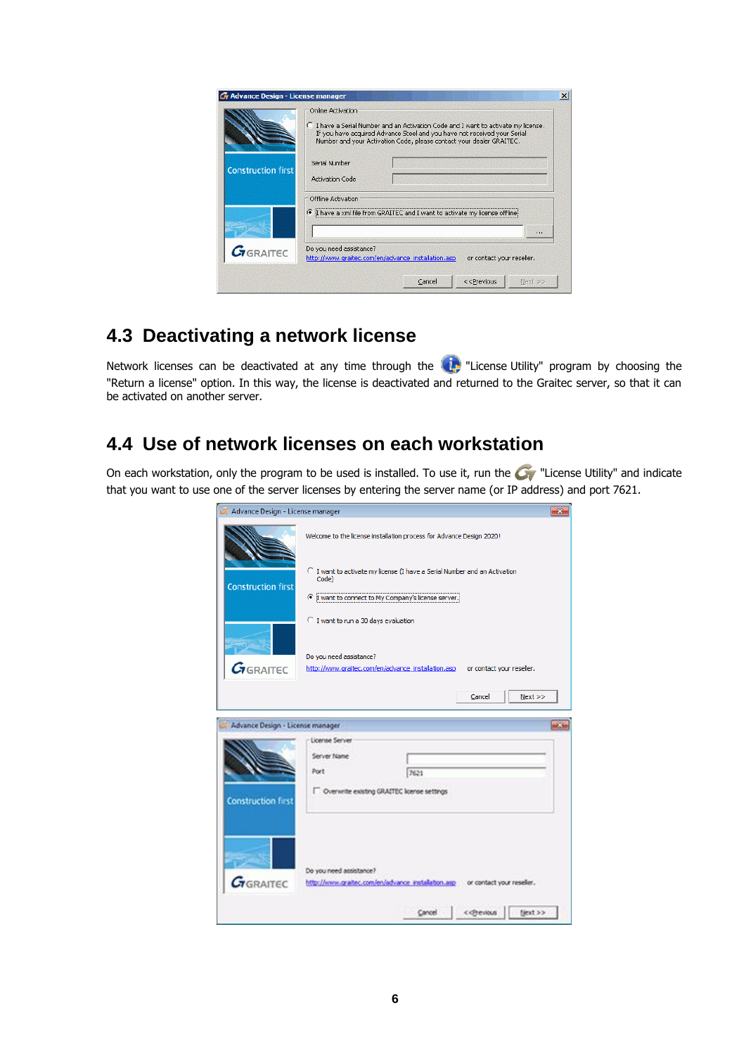|                           | C I have a Serial Number and an Activation Code and I want to activate my license.<br>If you have acquired Advance Steel and you have not received your Serial<br>Number and your Activation Code, please contact your dealer GRAITEC. |                           |  |
|---------------------------|----------------------------------------------------------------------------------------------------------------------------------------------------------------------------------------------------------------------------------------|---------------------------|--|
| <b>Construction first</b> | Serial Number<br><b>Activation Code</b>                                                                                                                                                                                                |                           |  |
|                           | Offline Activation                                                                                                                                                                                                                     |                           |  |
|                           | G<br>I have a xml file from GRAITEC and I want to activate my license offline                                                                                                                                                          |                           |  |
|                           |                                                                                                                                                                                                                                        |                           |  |
| $G_{\text{GRAITEC}}$      | Do you need assistance?<br>http://www.graitec.com/en/advance_installation.asp                                                                                                                                                          | or contact your reseller. |  |
|                           |                                                                                                                                                                                                                                        |                           |  |

## <span id="page-5-0"></span>**4.3 Deactivating a network license**

Network licenses can be deactivated at any time through the **(1)** "License Utility" program by choosing the "Return a license" option. In this way, the license is deactivated and returned to the Graitec server, so that it can be activated on another server.

### <span id="page-5-1"></span>**4.4 Use of network licenses on each workstation**

On each workstation, only the program to be used is installed. To use it, run the  $\bullet$  "License Utility" and indicate that you want to use one of the server licenses by entering the server name (or IP address) and port 7621.

| Advance Design - License manager |                                                                                    | $\mathbf{x}$ |
|----------------------------------|------------------------------------------------------------------------------------|--------------|
|                                  | Welcome to the license installation process for Advance Design 2020!               |              |
| <b>Construction first</b>        | C I want to activate my license (I have a Serial Number and an Activation<br>Code) |              |
|                                  | T want to connect to My Company's license server.                                  |              |
|                                  | C I want to run a 30 days evaluation                                               |              |
|                                  | Do you need assistance?                                                            |              |
| $G_{GRAITEC}$                    | http://www.graitec.com/en/advance_installation.asp<br>or contact your reseller.    |              |
|                                  | Cancel<br>Next                                                                     |              |
| Advance Design - License manager |                                                                                    |              |
|                                  | License Server                                                                     |              |
|                                  | Server Name                                                                        |              |
|                                  | Port<br>7621                                                                       |              |
| <b>Construction first</b>        | Overwrite existing GRAITEC license settings                                        |              |
|                                  |                                                                                    |              |
|                                  |                                                                                    |              |
|                                  | Do you need assistance?                                                            |              |
| $G$ GRAITEC                      | http://www.graitec.com/en/advance_installation.asp or contact your reseller.       |              |
|                                  | Next >><br>Cancel                                                                  |              |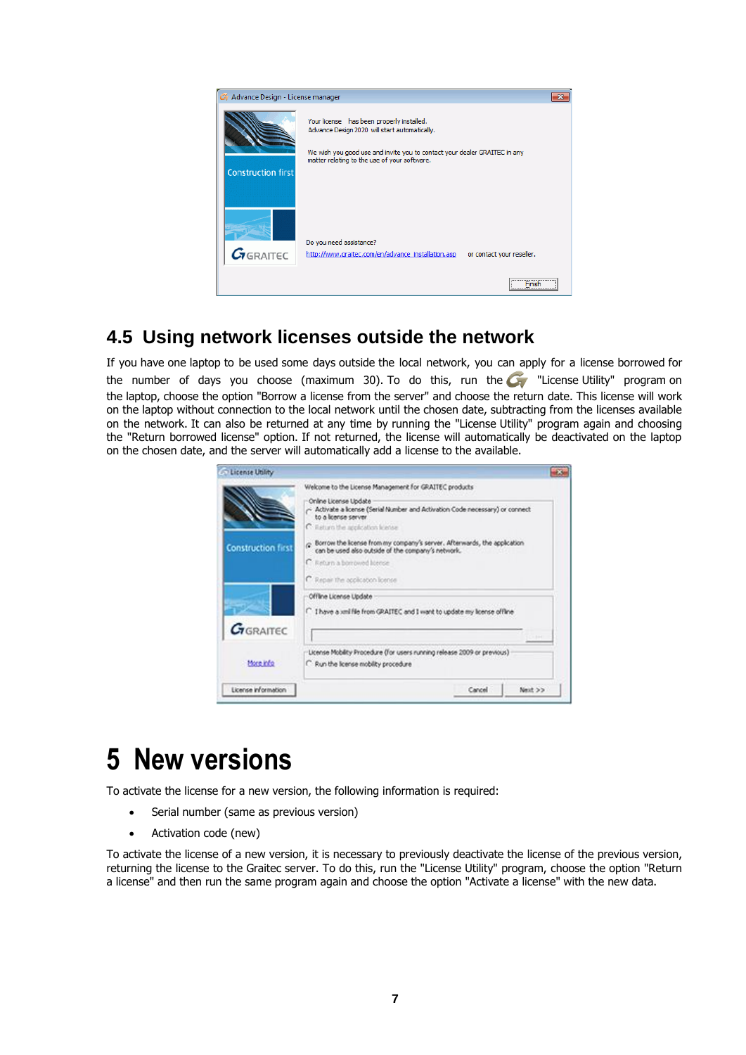

### <span id="page-6-0"></span>**4.5 Using network licenses outside the network**

If you have one laptop to be used some days outside the local network, you can apply for a license borrowed for the number of days you choose (maximum 30). To do this, run the  $\bullet$  "License Utility" program on the laptop, choose the option "Borrow a license from the server" and choose the return date. This license will work on the laptop without connection to the local network until the chosen date, subtracting from the licenses available on the network. It can also be returned at any time by running the "License Utility" program again and choosing the "Return borrowed license" option. If not returned, the license will automatically be deactivated on the laptop on the chosen date, and the server will automatically add a license to the available.

| <b>Co License Utility</b> |                                                                                                                                                                                                                             |             |
|---------------------------|-----------------------------------------------------------------------------------------------------------------------------------------------------------------------------------------------------------------------------|-------------|
|                           | Welcome to the License Management for GRAITEC products<br>Online License Update<br>- Activate a license (Serial Number and Activation Code necessary) or connect<br>to a lonner server<br>C listuro the application license |             |
| <b>Construction first</b> | Borrow the license from my company's server. Afterwards, the application<br>can be used also outside of the company's network.<br>C: Return a borrowed license<br>C Repair the application license                          |             |
| <b><i>C</i>TGRAITEC</b>   | Offline License Update<br>There a xnifile from GRAITEC and I want to update my license offline                                                                                                                              |             |
| More info                 | License Mobility Procedure (for users running release 2009 or previous)<br>C: Run the license mobility procedure                                                                                                            | <b>CHEH</b> |
| License information       | Cancel                                                                                                                                                                                                                      | Next >>     |

# <span id="page-6-1"></span>**5 New versions**

To activate the license for a new version, the following information is required:

- Serial number (same as previous version)
- Activation code (new)

To activate the license of a new version, it is necessary to previously deactivate the license of the previous version, returning the license to the Graitec server. To do this, run the "License Utility" program, choose the option "Return a license" and then run the same program again and choose the option "Activate a license" with the new data.